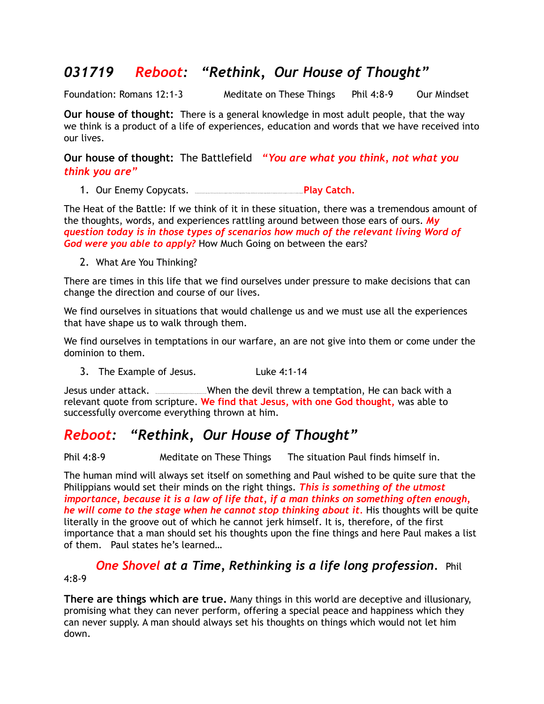### *031719 Reboot: "Rethink, Our House of Thought"*

Foundation: Romans 12:1-3 Meditate on These Things Phil 4:8-9 Our Mindset

**Our house of thought:** There is a general knowledge in most adult people, that the way we think is a product of a life of experiences, education and words that we have received into our lives.

**Our house of thought:** The Battlefield *"You are what you think, not what you think you are"*

1. Our Enemy Copycats. Our enemy has learned to copy many of God's way and turn them into a weapon for darkness. The world has thought patterns. The enemy, called the world, uses thoughts, images education, life experiences and words, to program us to conform to it's wishes and agenda. **Play Catch.**

The Heat of the Battle: If we think of it in these situation, there was a tremendous amount of the thoughts, words, and experiences rattling around between those ears of ours. *My question today is in those types of scenarios how much of the relevant living Word of God were you able to apply?* How Much Going on between the ears?

2. What Are You Thinking?

There are times in this life that we find ourselves under pressure to make decisions that can change the direction and course of our lives.

We find ourselves in situations that would challenge us and we must use all the experiences that have shape us to walk through them.

We find ourselves in temptations in our warfare, an are not give into them or come under the dominion to them.

3. The Example of Jesus. Luke 4:1-14

Jesus under attack. <u>Into Spirit when the devil</u> threw a temptation, He can back with a relevant quote from scripture. **We find that Jesus, with one God thought,** was able to successfully overcome everything thrown at him.

## *Reboot: "Rethink, Our House of Thought"*

Phil 4:8-9 Meditate on These Things The situation Paul finds himself in.

The human mind will always set itself on something and Paul wished to be quite sure that the Philippians would set their minds on the right things. *This is something of the utmost importance, because it is a law of life that, if a man thinks on something often enough, he will come to the stage when he cannot stop thinking about it.* His thoughts will be quite literally in the groove out of which he cannot jerk himself. It is, therefore, of the first importance that a man should set his thoughts upon the fine things and here Paul makes a list of them. Paul states he's learned…

#### *One Shovel at a Time, Rethinking is a life long profession.* Phil 4:8-9

**There are things which are true.** Many things in this world are deceptive and illusionary, promising what they can never perform, offering a special peace and happiness which they can never supply. A man should always set his thoughts on things which would not let him down.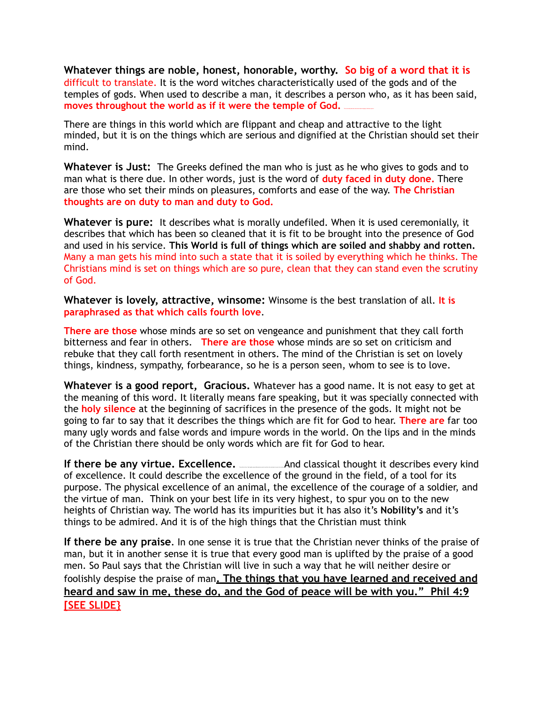**Whatever things are noble, honest, honorable, worthy. So big of a word that it is**  difficult to translate. It is the word witches characteristically used of the gods and of the temples of gods. When used to describe a man, it describes a person who, as it has been said, moves throughout the world as if it were the temple of God.

There are things in this world which are flippant and cheap and attractive to the light minded, but it is on the things which are serious and dignified at the Christian should set their mind.

**Whatever is Just:** The Greeks defined the man who is just as he who gives to gods and to man what is there due. In other words, just is the word of **duty faced in duty done.** There are those who set their minds on pleasures, comforts and ease of the way. **The Christian thoughts are on duty to man and duty to God.** 

**Whatever is pure:** It describes what is morally undefiled. When it is used ceremonially, it describes that which has been so cleaned that it is fit to be brought into the presence of God and used in his service. **This World is full of things which are soiled and shabby and rotten.** Many a man gets his mind into such a state that it is soiled by everything which he thinks. The Christians mind is set on things which are so pure, clean that they can stand even the scrutiny of God.

**Whatever is lovely, attractive, winsome:** Winsome is the best translation of all. **It is paraphrased as that which calls fourth love**.

**There are those** whose minds are so set on vengeance and punishment that they call forth bitterness and fear in others. **There are those** whose minds are so set on criticism and rebuke that they call forth resentment in others. The mind of the Christian is set on lovely things, kindness, sympathy, forbearance, so he is a person seen, whom to see is to love.

**Whatever is a good report, Gracious.** Whatever has a good name. It is not easy to get at the meaning of this word. It literally means fare speaking, but it was specially connected with the **holy silence** at the beginning of sacrifices in the presence of the gods. It might not be going to far to say that it describes the things which are fit for God to hear. **There are** far too many ugly words and false words and impure words in the world. On the lips and in the minds of the Christian there should be only words which are fit for God to hear.

**If there be any virtue. Excellence.** The and classical thought it describes every kind of excellence. It could describe the excellence of the ground in the field, of a tool for its purpose. The physical excellence of an animal, the excellence of the courage of a soldier, and the virtue of man. Think on your best life in its very highest, to spur you on to the new heights of Christian way. The world has its impurities but it has also it's **Nobility's** and it's things to be admired. And it is of the high things that the Christian must think

**If there be any praise***.* In one sense it is true that the Christian never thinks of the praise of man, but it in another sense it is true that every good man is uplifted by the praise of a good men. So Paul says that the Christian will live in such a way that he will neither desire or foolishly despise the praise of man**. The things that you have learned and received and heard and saw in me, these do, and the God of peace will be with you." Phil 4:9 [SEE SLIDE}**